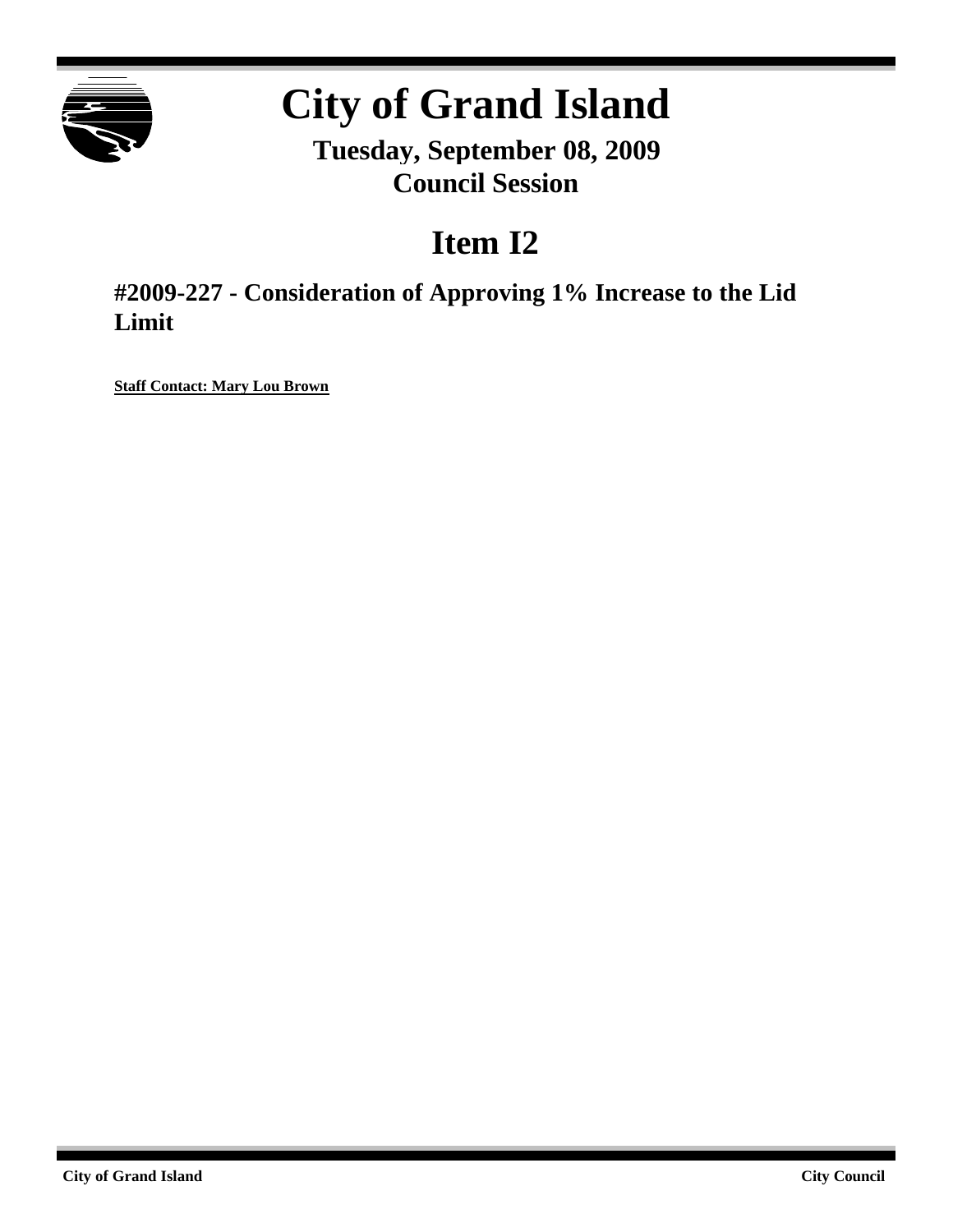

# **City of Grand Island**

**Tuesday, September 08, 2009 Council Session**

# **Item I2**

**#2009-227 - Consideration of Approving 1% Increase to the Lid Limit**

**Staff Contact: Mary Lou Brown**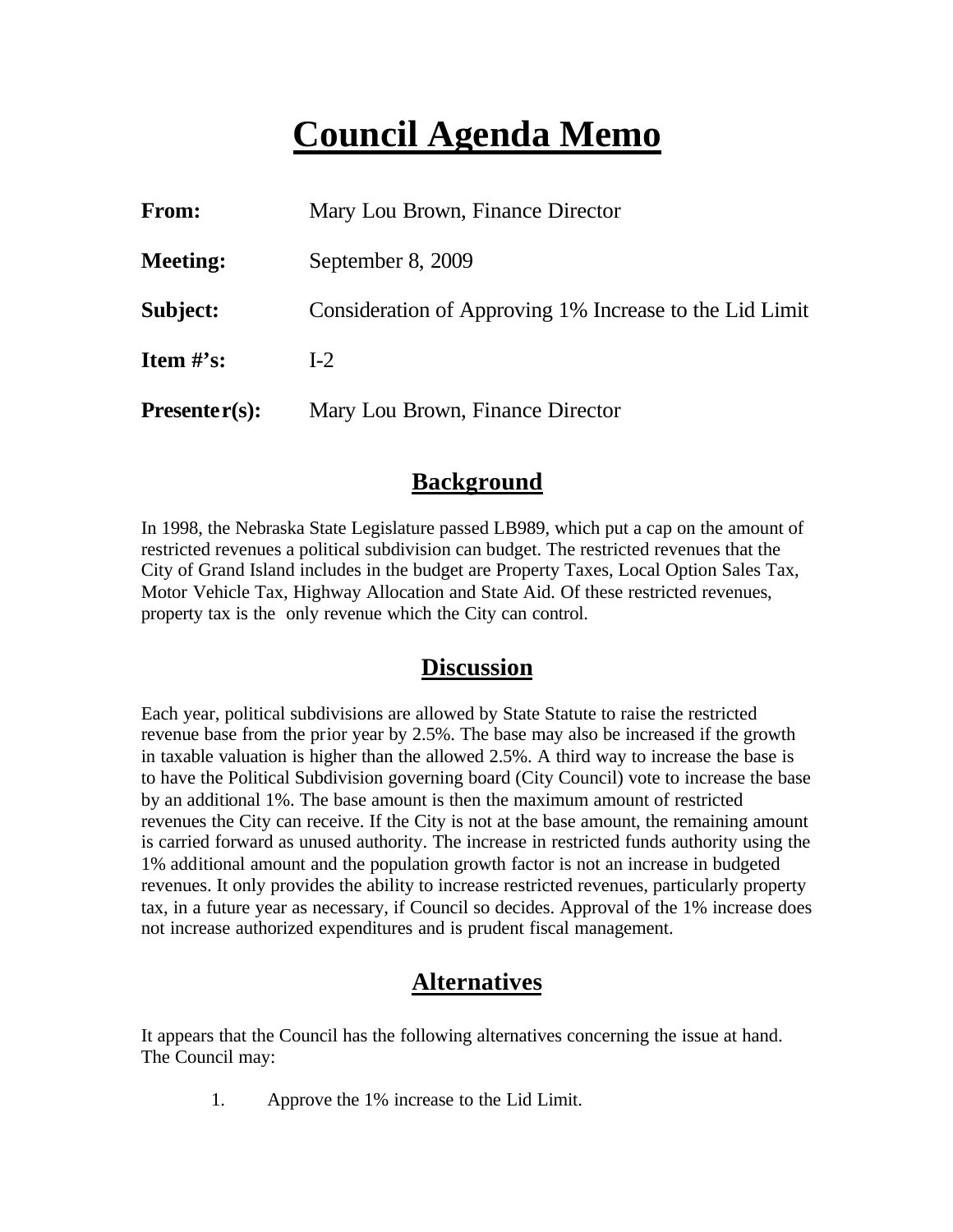## **Council Agenda Memo**

| <b>From:</b>                   | Mary Lou Brown, Finance Director                        |  |
|--------------------------------|---------------------------------------------------------|--|
| <b>Meeting:</b>                | September 8, 2009                                       |  |
| Subject:                       | Consideration of Approving 1% Increase to the Lid Limit |  |
| <b>Item <math>\#</math>'s:</b> | $I-2$                                                   |  |
| $Presenter(s):$                | Mary Lou Brown, Finance Director                        |  |

#### **Background**

In 1998, the Nebraska State Legislature passed LB989, which put a cap on the amount of restricted revenues a political subdivision can budget. The restricted revenues that the City of Grand Island includes in the budget are Property Taxes, Local Option Sales Tax, Motor Vehicle Tax, Highway Allocation and State Aid. Of these restricted revenues, property tax is the only revenue which the City can control.

#### **Discussion**

Each year, political subdivisions are allowed by State Statute to raise the restricted revenue base from the prior year by 2.5%. The base may also be increased if the growth in taxable valuation is higher than the allowed 2.5%. A third way to increase the base is to have the Political Subdivision governing board (City Council) vote to increase the base by an additional 1%. The base amount is then the maximum amount of restricted revenues the City can receive. If the City is not at the base amount, the remaining amount is carried forward as unused authority. The increase in restricted funds authority using the 1% additional amount and the population growth factor is not an increase in budgeted revenues. It only provides the ability to increase restricted revenues, particularly property tax, in a future year as necessary, if Council so decides. Approval of the 1% increase does not increase authorized expenditures and is prudent fiscal management.

### **Alternatives**

It appears that the Council has the following alternatives concerning the issue at hand. The Council may:

1. Approve the 1% increase to the Lid Limit.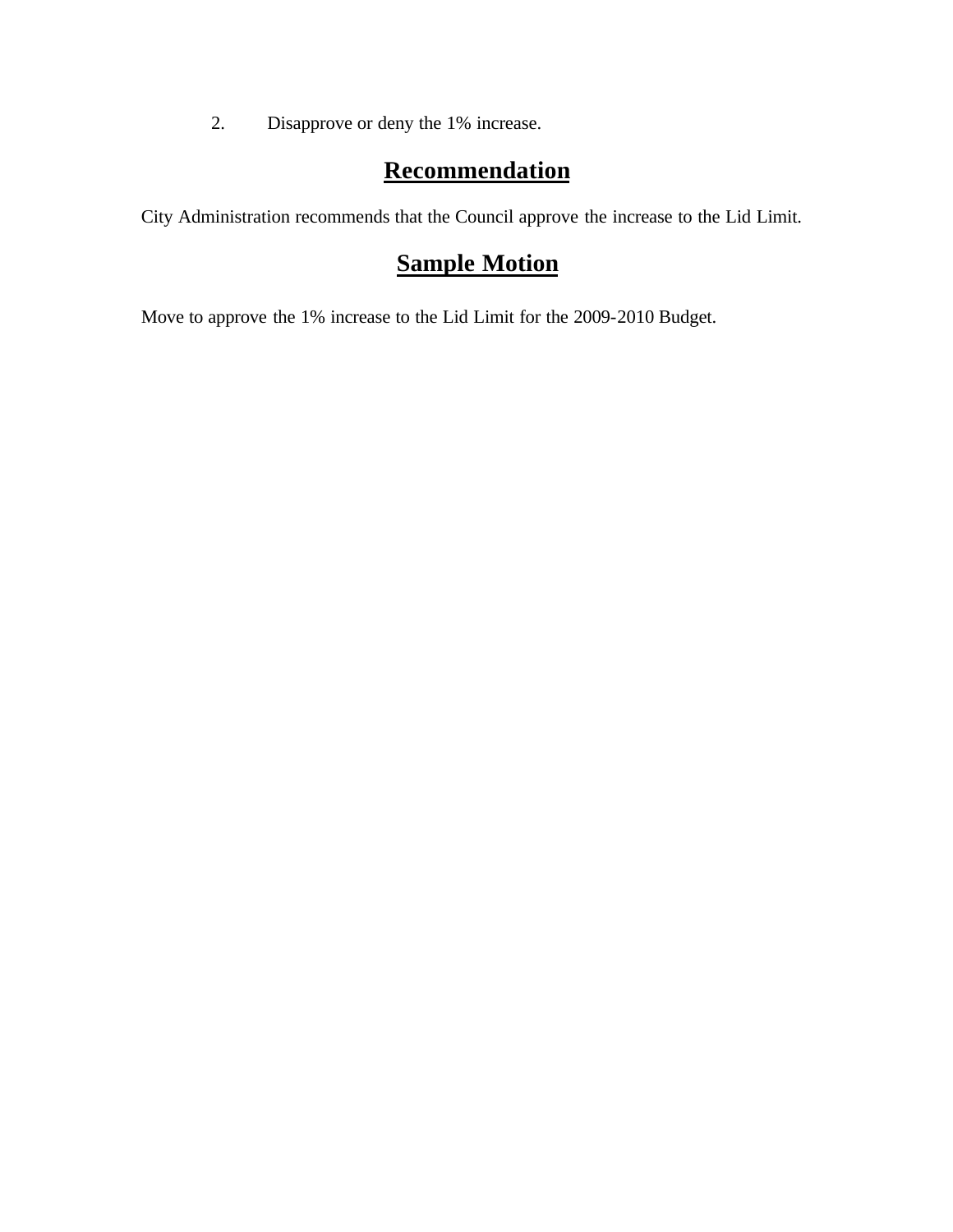2. Disapprove or deny the 1% increase.

#### **Recommendation**

City Administration recommends that the Council approve the increase to the Lid Limit.

### **Sample Motion**

Move to approve the 1% increase to the Lid Limit for the 2009-2010 Budget.